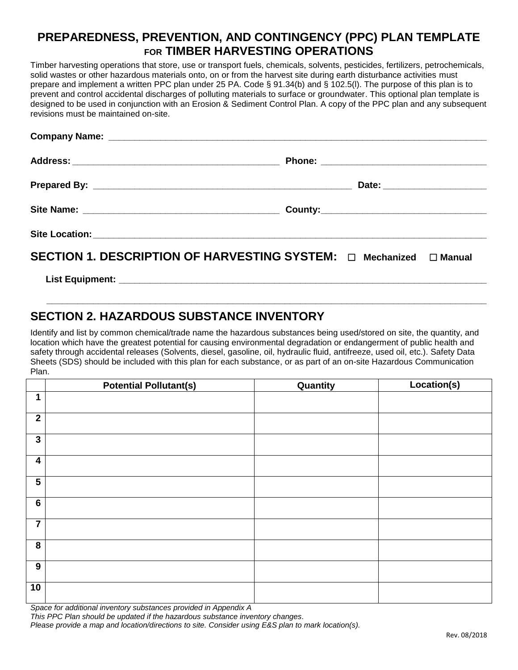### **PREPAREDNESS, PREVENTION, AND CONTINGENCY (PPC) PLAN TEMPLATE FOR TIMBER HARVESTING OPERATIONS**

Timber harvesting operations that store, use or transport fuels, chemicals, solvents, pesticides, fertilizers, petrochemicals, solid wastes or other hazardous materials onto, on or from the harvest site during earth disturbance activities must prepare and implement a written PPC plan under 25 PA. Code § 91.34(b) and § 102.5(l). The purpose of this plan is to prevent and control accidental discharges of polluting materials to surface or groundwater. This optional plan template is designed to be used in conjunction with an Erosion & Sediment Control Plan. A copy of the PPC plan and any subsequent revisions must be maintained on-site.

|                                                                              | Date: _______________________ |  |
|------------------------------------------------------------------------------|-------------------------------|--|
|                                                                              |                               |  |
|                                                                              |                               |  |
| SECTION 1. DESCRIPTION OF HARVESTING SYSTEM: $\Box$ Mechanized $\Box$ Manual |                               |  |

List Equipment:

# **SECTION 2. HAZARDOUS SUBSTANCE INVENTORY**

Identify and list by common chemical/trade name the hazardous substances being used/stored on site, the quantity, and location which have the greatest potential for causing environmental degradation or endangerment of public health and safety through accidental releases (Solvents, diesel, gasoline, oil, hydraulic fluid, antifreeze, used oil, etc.). Safety Data Sheets (SDS) should be included with this plan for each substance, or as part of an on-site Hazardous Communication Plan.

**\_\_\_\_\_\_\_\_\_\_\_\_\_\_\_\_\_\_\_\_\_\_\_\_\_\_\_\_\_\_\_\_\_\_\_\_\_\_\_\_\_\_\_\_\_\_\_\_\_\_\_\_\_\_\_\_\_\_\_\_\_\_\_\_\_\_\_\_\_\_\_\_\_\_\_\_\_\_\_\_\_\_\_\_\_**

|                         | <b>Potential Pollutant(s)</b> | Quantity | Location(s) |
|-------------------------|-------------------------------|----------|-------------|
| 1                       |                               |          |             |
| $\mathbf{2}$            |                               |          |             |
| $\mathbf{3}$            |                               |          |             |
| $\boldsymbol{4}$        |                               |          |             |
| $\overline{\mathbf{5}}$ |                               |          |             |
| $6\phantom{a}$          |                               |          |             |
| $\overline{\mathbf{7}}$ |                               |          |             |
| $\overline{\mathbf{8}}$ |                               |          |             |
| 9                       |                               |          |             |
| 10                      |                               |          |             |

*Space for additional inventory substances provided in Appendix A*

*This PPC Plan should be updated if the hazardous substance inventory changes.*

*Please provide a map and location/directions to site. Consider using E&S plan to mark location(s).*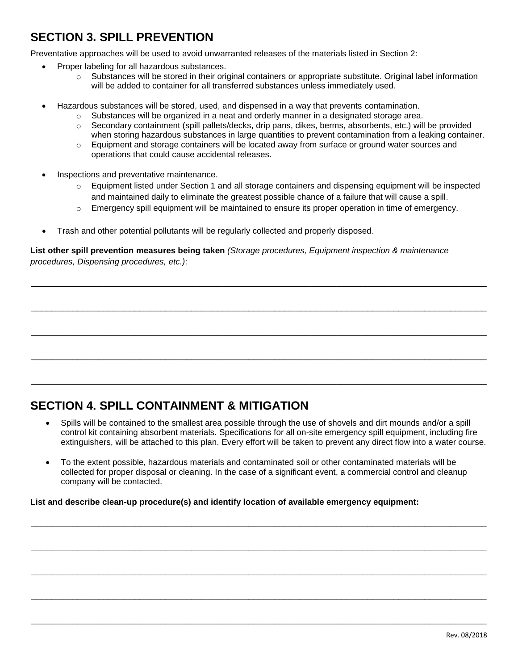# **SECTION 3. SPILL PREVENTION**

Preventative approaches will be used to avoid unwarranted releases of the materials listed in Section 2:

- Proper labeling for all hazardous substances.
	- $\circ$  Substances will be stored in their original containers or appropriate substitute. Original label information will be added to container for all transferred substances unless immediately used.
- Hazardous substances will be stored, used, and dispensed in a way that prevents contamination.
	- $\circ$  Substances will be organized in a neat and orderly manner in a designated storage area.
	- $\circ$  Secondary containment (spill pallets/decks, drip pans, dikes, berms, absorbents, etc.) will be provided when storing hazardous substances in large quantities to prevent contamination from a leaking container.
	- $\circ$  Equipment and storage containers will be located away from surface or ground water sources and operations that could cause accidental releases.
- Inspections and preventative maintenance.
	- o Equipment listed under Section 1 and all storage containers and dispensing equipment will be inspected and maintained daily to eliminate the greatest possible chance of a failure that will cause a spill.
	- $\circ$  Emergency spill equipment will be maintained to ensure its proper operation in time of emergency.
- Trash and other potential pollutants will be regularly collected and properly disposed.

**List other spill prevention measures being taken** *(Storage procedures, Equipment inspection & maintenance procedures, Dispensing procedures, etc.)*:

\_\_\_\_\_\_\_\_\_\_\_\_\_\_\_\_\_\_\_\_\_\_\_\_\_\_\_\_\_\_\_\_\_\_\_\_\_\_\_\_\_\_\_\_\_\_\_\_\_\_\_\_\_\_\_\_\_\_\_\_\_\_\_\_\_\_\_\_\_\_\_\_\_\_\_\_\_\_\_\_\_\_\_\_\_\_\_\_

\_\_\_\_\_\_\_\_\_\_\_\_\_\_\_\_\_\_\_\_\_\_\_\_\_\_\_\_\_\_\_\_\_\_\_\_\_\_\_\_\_\_\_\_\_\_\_\_\_\_\_\_\_\_\_\_\_\_\_\_\_\_\_\_\_\_\_\_\_\_\_\_\_\_\_\_\_\_\_\_\_\_\_\_\_\_\_\_

\_\_\_\_\_\_\_\_\_\_\_\_\_\_\_\_\_\_\_\_\_\_\_\_\_\_\_\_\_\_\_\_\_\_\_\_\_\_\_\_\_\_\_\_\_\_\_\_\_\_\_\_\_\_\_\_\_\_\_\_\_\_\_\_\_\_\_\_\_\_\_\_\_\_\_\_\_\_\_\_\_\_\_\_\_\_\_\_

\_\_\_\_\_\_\_\_\_\_\_\_\_\_\_\_\_\_\_\_\_\_\_\_\_\_\_\_\_\_\_\_\_\_\_\_\_\_\_\_\_\_\_\_\_\_\_\_\_\_\_\_\_\_\_\_\_\_\_\_\_\_\_\_\_\_\_\_\_\_\_\_\_\_\_\_\_\_\_\_\_\_\_\_\_\_\_\_

\_\_\_\_\_\_\_\_\_\_\_\_\_\_\_\_\_\_\_\_\_\_\_\_\_\_\_\_\_\_\_\_\_\_\_\_\_\_\_\_\_\_\_\_\_\_\_\_\_\_\_\_\_\_\_\_\_\_\_\_\_\_\_\_\_\_\_\_\_\_\_\_\_\_\_\_\_\_\_\_\_\_\_\_\_\_\_\_

# **SECTION 4. SPILL CONTAINMENT & MITIGATION**

- Spills will be contained to the smallest area possible through the use of shovels and dirt mounds and/or a spill control kit containing absorbent materials. Specifications for all on-site emergency spill equipment, including fire extinguishers, will be attached to this plan. Every effort will be taken to prevent any direct flow into a water course.
- To the extent possible, hazardous materials and contaminated soil or other contaminated materials will be collected for proper disposal or cleaning. In the case of a significant event, a commercial control and cleanup company will be contacted.

**\_\_\_\_\_\_\_\_\_\_\_\_\_\_\_\_\_\_\_\_\_\_\_\_\_\_\_\_\_\_\_\_\_\_\_\_\_\_\_\_\_\_\_\_\_\_\_\_\_\_\_\_\_\_\_\_\_\_\_\_\_\_\_\_\_\_\_\_\_\_\_\_\_\_\_\_\_\_\_\_\_\_\_\_\_\_\_\_**

**\_\_\_\_\_\_\_\_\_\_\_\_\_\_\_\_\_\_\_\_\_\_\_\_\_\_\_\_\_\_\_\_\_\_\_\_\_\_\_\_\_\_\_\_\_\_\_\_\_\_\_\_\_\_\_\_\_\_\_\_\_\_\_\_\_\_\_\_\_\_\_\_\_\_\_\_\_\_\_\_\_\_\_\_\_\_\_\_**

**\_\_\_\_\_\_\_\_\_\_\_\_\_\_\_\_\_\_\_\_\_\_\_\_\_\_\_\_\_\_\_\_\_\_\_\_\_\_\_\_\_\_\_\_\_\_\_\_\_\_\_\_\_\_\_\_\_\_\_\_\_\_\_\_\_\_\_\_\_\_\_\_\_\_\_\_\_\_\_\_\_\_\_\_\_\_\_\_**

**\_\_\_\_\_\_\_\_\_\_\_\_\_\_\_\_\_\_\_\_\_\_\_\_\_\_\_\_\_\_\_\_\_\_\_\_\_\_\_\_\_\_\_\_\_\_\_\_\_\_\_\_\_\_\_\_\_\_\_\_\_\_\_\_\_\_\_\_\_\_\_\_\_\_\_\_\_\_\_\_\_\_\_\_\_\_\_\_**

**\_\_\_\_\_\_\_\_\_\_\_\_\_\_\_\_\_\_\_\_\_\_\_\_\_\_\_\_\_\_\_\_\_\_\_\_\_\_\_\_\_\_\_\_\_\_\_\_\_\_\_\_\_\_\_\_\_\_\_\_\_\_\_\_\_\_\_\_\_\_\_\_\_\_\_\_\_\_\_\_\_\_\_\_\_\_\_\_**

**List and describe clean-up procedure(s) and identify location of available emergency equipment:**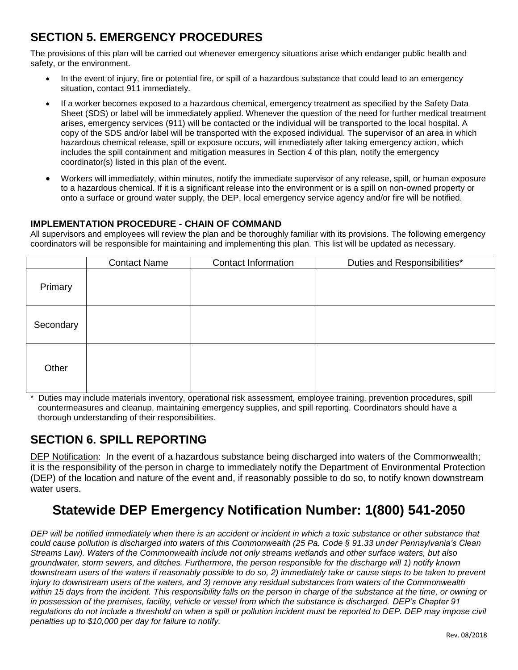# **SECTION 5. EMERGENCY PROCEDURES**

The provisions of this plan will be carried out whenever emergency situations arise which endanger public health and safety, or the environment.

- In the event of injury, fire or potential fire, or spill of a hazardous substance that could lead to an emergency situation, contact 911 immediately.
- If a worker becomes exposed to a hazardous chemical, emergency treatment as specified by the Safety Data Sheet (SDS) or label will be immediately applied. Whenever the question of the need for further medical treatment arises, emergency services (911) will be contacted or the individual will be transported to the local hospital. A copy of the SDS and/or label will be transported with the exposed individual. The supervisor of an area in which hazardous chemical release, spill or exposure occurs, will immediately after taking emergency action, which includes the spill containment and mitigation measures in Section 4 of this plan, notify the emergency coordinator(s) listed in this plan of the event.
- Workers will immediately, within minutes, notify the immediate supervisor of any release, spill, or human exposure to a hazardous chemical. If it is a significant release into the environment or is a spill on non-owned property or onto a surface or ground water supply, the DEP, local emergency service agency and/or fire will be notified.

#### **IMPLEMENTATION PROCEDURE - CHAIN OF COMMAND**

All supervisors and employees will review the plan and be thoroughly familiar with its provisions. The following emergency coordinators will be responsible for maintaining and implementing this plan. This list will be updated as necessary.

|           | <b>Contact Name</b> | <b>Contact Information</b> | Duties and Responsibilities* |
|-----------|---------------------|----------------------------|------------------------------|
| Primary   |                     |                            |                              |
| Secondary |                     |                            |                              |
| Other     |                     |                            |                              |

Duties may include materials inventory, operational risk assessment, employee training, prevention procedures, spill countermeasures and cleanup, maintaining emergency supplies, and spill reporting. Coordinators should have a thorough understanding of their responsibilities.

# **SECTION 6. SPILL REPORTING**

DEP Notification: In the event of a hazardous substance being discharged into waters of the Commonwealth; it is the responsibility of the person in charge to immediately notify the Department of Environmental Protection (DEP) of the location and nature of the event and, if reasonably possible to do so, to notify known downstream water users.

# **Statewide DEP Emergency Notification Number: 1(800) 541-2050**

*DEP will be notified immediately when there is an accident or incident in which a toxic substance or other substance that could cause pollution is discharged into waters of this Commonwealth (25 Pa. Code § 91.33 under Pennsylvania's Clean Streams Law). Waters of the Commonwealth include not only streams wetlands and other surface waters, but also groundwater, storm sewers, and ditches. Furthermore, the person responsible for the discharge will 1) notify known downstream users of the waters if reasonably possible to do so, 2) immediately take or cause steps to be taken to prevent injury to downstream users of the waters, and 3) remove any residual substances from waters of the Commonwealth within 15 days from the incident. This responsibility falls on the person in charge of the substance at the time, or owning or in possession of the premises, facility, vehicle or vessel from which the substance is discharged. DEP's Chapter 91*  regulations do not include a threshold on when a spill or pollution incident must be reported to DEP. DEP may impose civil *penalties up to \$10,000 per day for failure to notify.*